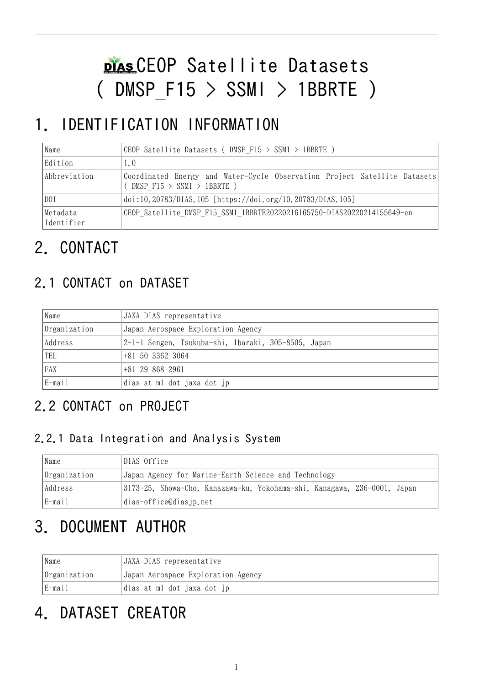# CEOP Satellite Datasets  $($  DMSP F15  $>$  SSMI  $>$  1BBRTE )

# 1. IDENTIFICATION INFORMATION

| Name                   | CEOP Satellite Datasets (DMSP F15 > SSMI > 1BBRTE )                                                     |
|------------------------|---------------------------------------------------------------------------------------------------------|
| Edition                | 1.0                                                                                                     |
| Abbreviation           | Coordinated Energy and Water-Cycle Observation Project Satellite Datasets<br>(DMSP F15 > SSMI > IBBRTE) |
| DO I                   | doi:10.20783/DIAS.105 [https://doi.org/10.20783/DIAS.105]                                               |
| Metadata<br>Identifier | CEOP Satellite DMSP F15 SSMI 1BBRTE20220216165750-DIAS20220214155649-en                                 |

# 2. CONTACT

## 2.1 CONTACT on DATASET

| Name         | JAXA DIAS representative                            |
|--------------|-----------------------------------------------------|
| Organization | Japan Aerospace Exploration Agency                  |
| Address      | 2-1-1 Sengen, Tsukuba-shi, Ibaraki, 305-8505, Japan |
| TEL          | +81 50 3362 3064                                    |
| FAX          | +81 29 868 2961                                     |
| E-mail       | dias at ml dot jaxa dot jp                          |

## 2.2 CONTACT on PROJECT

#### 2.2.1 Data Integration and Analysis System

| Name         | DIAS Office                                                              |  |  |  |
|--------------|--------------------------------------------------------------------------|--|--|--|
| Organization | Japan Agency for Marine-Earth Science and Technology                     |  |  |  |
| Address      | 3173-25, Showa-Cho, Kanazawa-ku, Yokohama-shi, Kanagawa, 236-0001, Japan |  |  |  |
| E-mail       | dias-office@diasjp.net                                                   |  |  |  |

# 3. DOCUMENT AUTHOR

| Name             | JAXA DIAS representative           |
|------------------|------------------------------------|
| $ 0$ rganization | Japan Aerospace Exploration Agency |
| E-mail           | dias at ml dot jaxa dot jp         |

# 4. DATASET CREATOR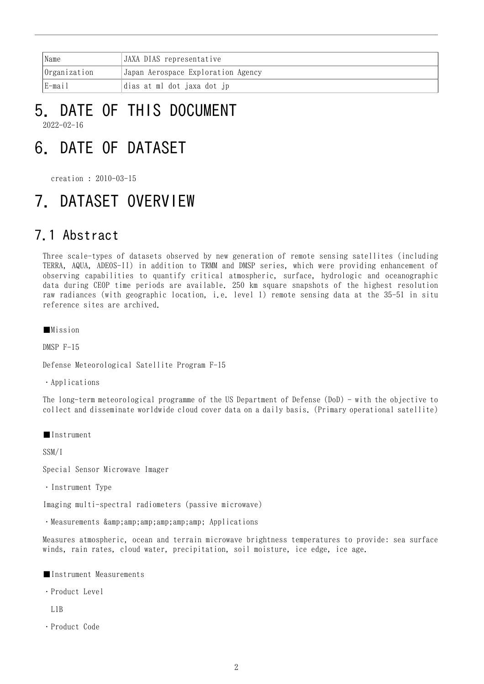| Name                | JAXA DIAS representative           |
|---------------------|------------------------------------|
| <i>Organization</i> | Japan Aerospace Exploration Agency |
| lE-mail             | dias at ml dot jaxa dot jp         |

#### 5. DATE OF THIS DOCUMENT 2022-02-16

# 6. DATE OF DATASET

creation : 2010-03-15

## 7. DATASET OVERVIEW

### 7.1 Abstract

Three scale-types of datasets observed by new generation of remote sensing satellites (including TERRA, AQUA, ADEOS-II) in addition to TRMM and DMSP series, which were providing enhancement of observing capabilities to quantify critical atmospheric, surface, hydrologic and oceanographic data during CEOP time periods are available. 250 km square snapshots of the highest resolution raw radiances (with geographic location, i.e. level 1) remote sensing data at the 35-51 in situ reference sites are archived.

■Mission

DMSP F-15

Defense Meteorological Satellite Program F-15

・Applications

The long-term meteorological programme of the US Department of Defense (DoD) - with the objective to collect and disseminate worldwide cloud cover data on a daily basis. (Primary operational satellite)

■Instrument

SSM/I

Special Sensor Microwave Imager

・Instrument Type

Imaging multi-spectral radiometers (passive microwave)

· Measurements & amp; amp; amp; amp; amp; Applications

Measures atmospheric, ocean and terrain microwave brightness temperatures to provide: sea surface winds, rain rates, cloud water, precipitation, soil moisture, ice edge, ice age.

- ■Instrument Measurements
- ・Product Level

L1B

・Product Code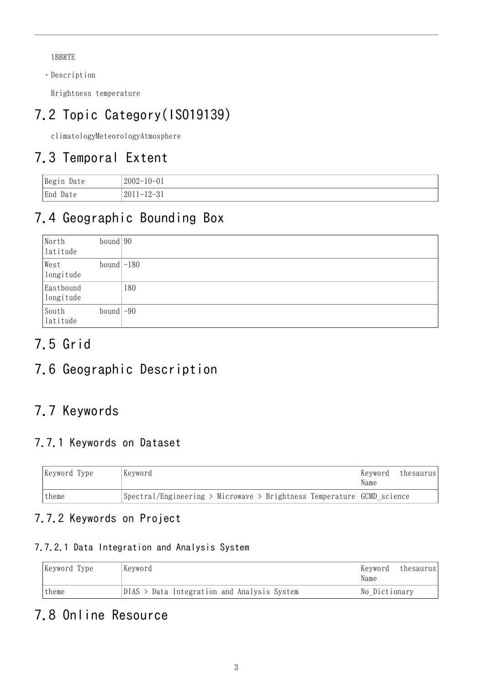1BBRTE

・Description

Brightness temperature

## 7.2 Topic Category(ISO19139)

climatologyMeteorologyAtmosphere

## 7.3 Temporal Extent

| Begin<br>Date | $2002 - 10 - 01$ |
|---------------|------------------|
| End Date      | $2011 - 12 - 31$ |

## 7.4 Geographic Bounding Box

| North<br>latitude      | bound $90$   |     |
|------------------------|--------------|-----|
| West<br>longitude      | bound $-180$ |     |
| Eastbound<br>longitude |              | 180 |
| South<br>latitude      | bound $-90$  |     |

## 7.5 Grid

## 7.6 Geographic Description

## 7.7 Keywords

### 7.7.1 Keywords on Dataset

| Keyword Type | Kevword                                                                               | thesaurus<br> Kevword <br>Name |
|--------------|---------------------------------------------------------------------------------------|--------------------------------|
| 'theme       | $\beta$ Spectral/Engineering > Microwave > Brightness Temperature $\beta$ CMD science |                                |

#### 7.7.2 Keywords on Project

#### 7.7.2.1 Data Integration and Analysis System

| Keyword Type | Keyword                                     | Kevword<br>Name | thesaurusl |
|--------------|---------------------------------------------|-----------------|------------|
| theme        | DIAS > Data Integration and Analysis System | No Dictionary   |            |

### 7.8 Online Resource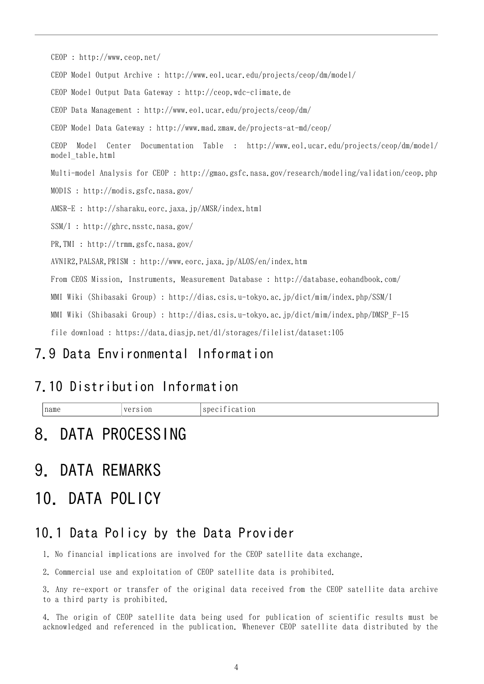CEOP : <http://www.ceop.net/> CEOP Model Output Archive : <http://www.eol.ucar.edu/projects/ceop/dm/model/> CEOP Model Output Data Gateway : <http://ceop.wdc-climate.de> CEOP Data Management : <http://www.eol.ucar.edu/projects/ceop/dm/> CEOP Model Data Gateway : <http://www.mad.zmaw.de/projects-at-md/ceop/> CEOP Model Center Documentation Table : [http://www.eol.ucar.edu/projects/ceop/dm/model/](http://www.eol.ucar.edu/projects/ceop/dm/model/model_table.html) [model\\_table.html](http://www.eol.ucar.edu/projects/ceop/dm/model/model_table.html) Multi-model Analysis for CEOP : <http://gmao.gsfc.nasa.gov/research/modeling/validation/ceop.php> MODIS : <http://modis.gsfc.nasa.gov/> AMSR-E : <http://sharaku.eorc.jaxa.jp/AMSR/index.html> SSM/I : <http://ghrc.nsstc.nasa.gov/> PR,TMI : <http://trmm.gsfc.nasa.gov/> AVNIR2,PALSAR,PRISM : <http://www.eorc.jaxa.jp/ALOS/en/index.htm> From CEOS Mission, Instruments, Measurement Database : <http://database.eohandbook.com/> MMI Wiki (Shibasaki Group) : <http://dias.csis.u-tokyo.ac.jp/dict/mim/index.php/SSM/I> MMI Wiki (Shibasaki Group) : [http://dias.csis.u-tokyo.ac.jp/dict/mim/index.php/DMSP\\_F-15](http://dias.csis.u-tokyo.ac.jp/dict/mim/index.php/DMSP_F-15) file download : <https://data.diasjp.net/dl/storages/filelist/dataset:105>

### 7.9 Data Environmental Information

## 7.10 Distribution Information

 $\vert$ name  $\vert$ version specification

## 8. DATA PROCESSING

## 9. DATA REMARKS

## 10. DATA POLICY

### 10.1 Data Policy by the Data Provider

1. No financial implications are involved for the CEOP satellite data exchange.

2. Commercial use and exploitation of CEOP satellite data is prohibited.

3. Any re-export or transfer of the original data received from the CEOP satellite data archive to a third party is prohibited.

4. The origin of CEOP satellite data being used for publication of scientific results must be acknowledged and referenced in the publication. Whenever CEOP satellite data distributed by the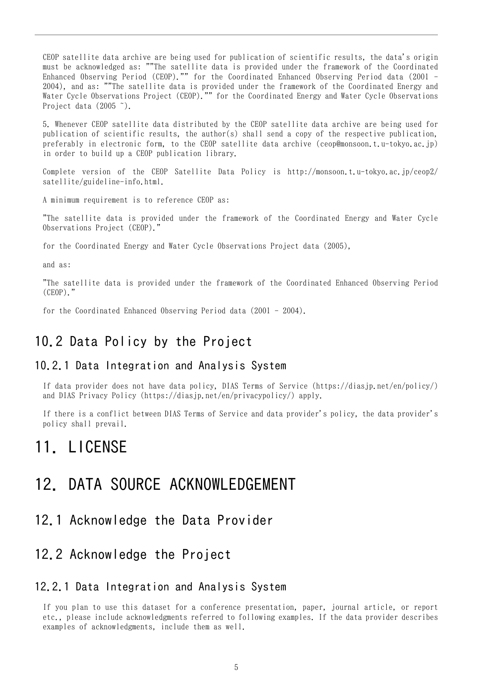CEOP satellite data archive are being used for publication of scientific results, the data's origin must be acknowledged as: ""The satellite data is provided under the framework of the Coordinated Enhanced Observing Period (CEOP)."" for the Coordinated Enhanced Observing Period data (2001 - 2004), and as: ""The satellite data is provided under the framework of the Coordinated Energy and Water Cycle Observations Project (CEOP)."" for the Coordinated Energy and Water Cycle Observations Project data (2005 ~).

5. Whenever CEOP satellite data distributed by the CEOP satellite data archive are being used for publication of scientific results, the author(s) shall send a copy of the respective publication, preferably in electronic form, to the CEOP satellite data archive (ceop@monsoon.t.u-tokyo.ac.jp) in order to build up a CEOP publication library.

Complete version of the CEOP Satellite Data Policy is http://monsoon.t.u-tokyo.ac.jp/ceop2/ satellite/guideline-info.html.

A minimum requirement is to reference CEOP as:

"The satellite data is provided under the framework of the Coordinated Energy and Water Cycle Observations Project (CEOP)."

for the Coordinated Energy and Water Cycle Observations Project data (2005),

and as:

"The satellite data is provided under the framework of the Coordinated Enhanced Observing Period  $(CEOP)$ ."

for the Coordinated Enhanced Observing Period data (2001 - 2004).

#### 10.2 Data Policy by the Project

#### 10.2.1 Data Integration and Analysis System

If data provider does not have data policy, DIAS Terms of Service (https://diasjp.net/en/policy/) and DIAS Privacy Policy (https://diasjp.net/en/privacypolicy/) apply.

If there is a conflict between DIAS Terms of Service and data provider's policy, the data provider's policy shall prevail.

### 11. LICENSE

### 12. DATA SOURCE ACKNOWLEDGEMENT

#### 12.1 Acknowledge the Data Provider

#### 12.2 Acknowledge the Project

#### 12.2.1 Data Integration and Analysis System

If you plan to use this dataset for a conference presentation, paper, journal article, or report etc., please include acknowledgments referred to following examples. If the data provider describes examples of acknowledgments, include them as well.